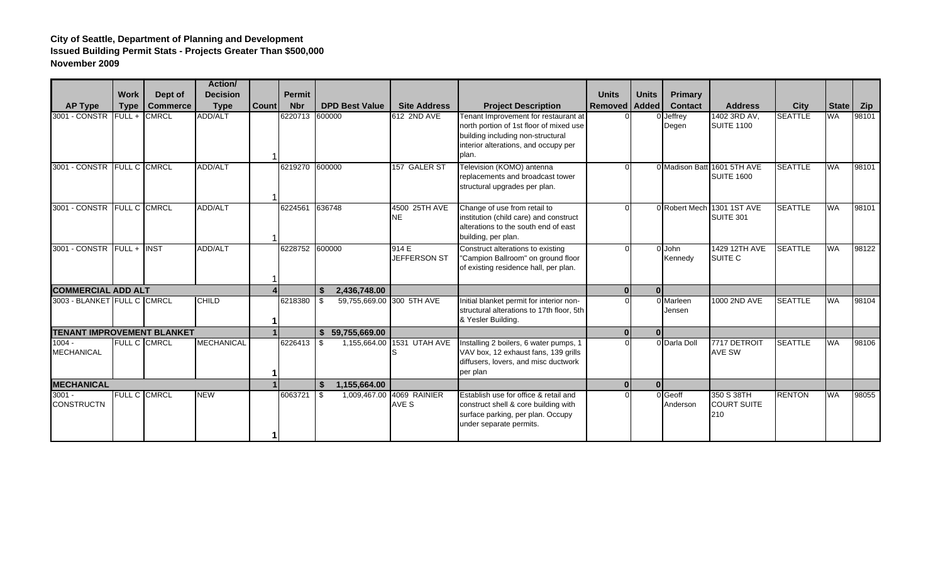## **City of Seattle, Department of Planning and Development Issued Building Permit Stats - Projects Greater Than \$500,000 November 2009**

|                                   |                     |                 | <b>Action</b> /   |              |                |                                 |                            |                                                                                                                                                                       |                |              |                     |                                                  |                |              |       |
|-----------------------------------|---------------------|-----------------|-------------------|--------------|----------------|---------------------------------|----------------------------|-----------------------------------------------------------------------------------------------------------------------------------------------------------------------|----------------|--------------|---------------------|--------------------------------------------------|----------------|--------------|-------|
|                                   | <b>Work</b>         | Dept of         | <b>Decision</b>   |              | <b>Permit</b>  |                                 |                            |                                                                                                                                                                       | <b>Units</b>   | <b>Units</b> | <b>Primary</b>      |                                                  |                |              |       |
| <b>AP Type</b>                    | <b>Type</b>         | <b>Commerce</b> | <b>Type</b>       | <b>Count</b> | <b>Nbr</b>     | <b>DPD Best Value</b>           | <b>Site Address</b>        | <b>Project Description</b>                                                                                                                                            | <b>Removed</b> | <b>Added</b> | <b>Contact</b>      | <b>Address</b>                                   | <b>City</b>    | <b>State</b> | Zip   |
| 3001 - CONSTR                     | $FULL +$            | <b>CMRCL</b>    | ADD/ALT           |              | 6220713 600000 |                                 | 612 2ND AVE                | Tenant Improvement for restaurant at<br>north portion of 1st floor of mixed use<br>building including non-structural<br>interior alterations, and occupy per<br>plan. |                |              | Jeffrev<br>Degen    | 1402 3RD AV,<br><b>SUITE 1100</b>                | <b>SEATTLE</b> | <b>WA</b>    | 98101 |
| 3001 - CONSTR FULL C CMRCL        |                     |                 | <b>ADD/ALT</b>    |              | 6219270 600000 |                                 | 157 GALER ST               | Television (KOMO) antenna<br>replacements and broadcast tower<br>structural upgrades per plan.                                                                        |                |              |                     | 0 Madison Batt 1601 5TH AVE<br><b>SUITE 1600</b> | <b>SEATTLE</b> | <b>WA</b>    | 98101 |
| 3001 - CONSTR                     | <b>FULL C CMRCL</b> |                 | <b>ADD/ALT</b>    |              | 6224561        | 636748                          | 4500 25TH AVE<br><b>NE</b> | Change of use from retail to<br>institution (child care) and construct<br>alterations to the south end of east<br>building, per plan.                                 |                |              | 0 Robert Mech       | 1301 1ST AVE<br><b>SUITE 301</b>                 | <b>SEATTLE</b> | <b>WA</b>    | 98101 |
| 3001 - CONSTR FULL + INST         |                     |                 | <b>ADD/ALT</b>    |              | 6228752 600000 |                                 | 914E<br>JEFFERSON ST       | Construct alterations to existing<br>"Campion Ballroom" on ground floor<br>of existing residence hall, per plan.                                                      |                |              | 0 John<br>Kennedy   | 1429 12TH AVE<br>SUITE C                         | <b>SEATTLE</b> | <b>WA</b>    | 98122 |
| <b>COMMERCIAL ADD ALT</b>         |                     |                 |                   |              |                | \$<br>2,436,748.00              |                            |                                                                                                                                                                       | $\Omega$       | $\sqrt{ }$   |                     |                                                  |                |              |       |
| 3003 - BLANKET FULL C CMRCL       |                     |                 | <b>CHILD</b>      |              | 6218380        | 59,755,669.00 300 5TH AVE<br>\$ |                            | Initial blanket permit for interior non-<br>structural alterations to 17th floor, 5th<br>& Yesler Building.                                                           |                |              | 0 Marleen<br>Jensen | 1000 2ND AVE                                     | <b>SEATTLE</b> | <b>WA</b>    | 98104 |
| <b>TENANT IMPROVEMENT BLANKET</b> |                     |                 |                   |              |                | 59,755,669.00<br>\$             |                            |                                                                                                                                                                       | $\Omega$       |              |                     |                                                  |                |              |       |
| $1004 -$<br><b>MECHANICAL</b>     | <b>FULL C CMRCL</b> |                 | <b>MECHANICAL</b> |              | 6226413        | \$                              | 1,155,664.00 1531 UTAH AVE | Installing 2 boilers, 6 water pumps, 1<br>VAV box, 12 exhaust fans, 139 grills<br>diffusers, lovers, and misc ductwork<br>per plan                                    |                |              | 0 Darla Doll        | 7717 DETROIT<br><b>AVE SW</b>                    | <b>SEATTLE</b> | <b>WA</b>    | 98106 |
| <b>MECHANICAL</b>                 |                     |                 |                   |              |                | 1,155,664.00<br>\$              |                            |                                                                                                                                                                       | $\Omega$       |              |                     |                                                  |                |              |       |
| $3001 -$<br><b>CONSTRUCTN</b>     | FULL C CMRCL        |                 | <b>NEW</b>        |              | 6063721        | $\sqrt{3}$<br>1,009,467.00      | 4069 RAINIER<br>AVE S      | Establish use for office & retail and<br>construct shell & core building with<br>surface parking, per plan. Occupy<br>under separate permits.                         |                |              | 0 Geoff<br>Anderson | 350 S 38TH<br><b>COURT SUITE</b><br>210          | <b>RENTON</b>  | <b>WA</b>    | 98055 |